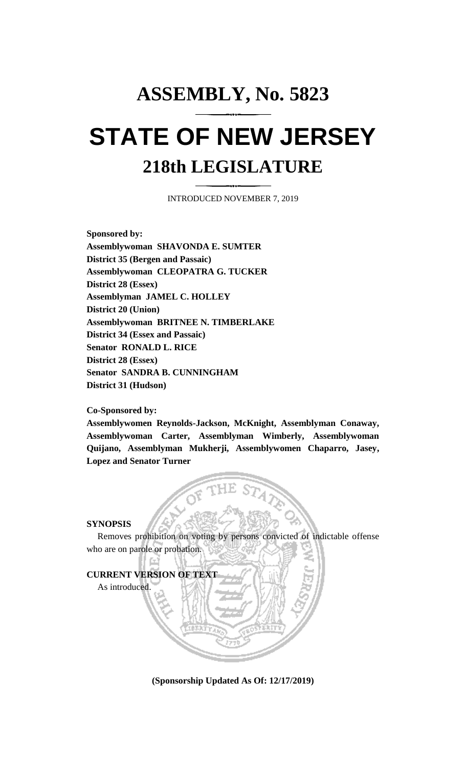# **ASSEMBLY, No. 5823 STATE OF NEW JERSEY 218th LEGISLATURE**

INTRODUCED NOVEMBER 7, 2019

**Sponsored by: Assemblywoman SHAVONDA E. SUMTER District 35 (Bergen and Passaic) Assemblywoman CLEOPATRA G. TUCKER District 28 (Essex) Assemblyman JAMEL C. HOLLEY District 20 (Union) Assemblywoman BRITNEE N. TIMBERLAKE District 34 (Essex and Passaic) Senator RONALD L. RICE District 28 (Essex) Senator SANDRA B. CUNNINGHAM District 31 (Hudson)**

**Co-Sponsored by:**

**Assemblywomen Reynolds-Jackson, McKnight, Assemblyman Conaway, Assemblywoman Carter, Assemblyman Wimberly, Assemblywoman Quijano, Assemblyman Mukherji, Assemblywomen Chaparro, Jasey, Lopez and Senator Turner**

### **SYNOPSIS**

Removes prohibition on voting by persons convicted of indictable offense who are on parole or probation.



**(Sponsorship Updated As Of: 12/17/2019)**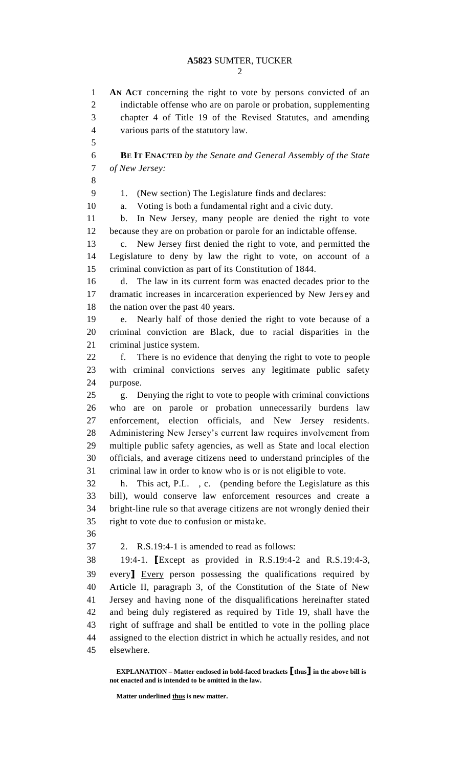**AN ACT** concerning the right to vote by persons convicted of an indictable offense who are on parole or probation, supplementing chapter 4 of Title 19 of the Revised Statutes, and amending

 various parts of the statutory law. **BE IT ENACTED** *by the Senate and General Assembly of the State of New Jersey:* 9 1. (New section) The Legislature finds and declares: a. Voting is both a fundamental right and a civic duty. b. In New Jersey, many people are denied the right to vote because they are on probation or parole for an indictable offense. c. New Jersey first denied the right to vote, and permitted the Legislature to deny by law the right to vote, on account of a criminal conviction as part of its Constitution of 1844. d. The law in its current form was enacted decades prior to the dramatic increases in incarceration experienced by New Jersey and 18 the nation over the past 40 years. e. Nearly half of those denied the right to vote because of a criminal conviction are Black, due to racial disparities in the criminal justice system. f. There is no evidence that denying the right to vote to people with criminal convictions serves any legitimate public safety purpose. g. Denying the right to vote to people with criminal convictions who are on parole or probation unnecessarily burdens law enforcement, election officials, and New Jersey residents. Administering New Jersey's current law requires involvement from multiple public safety agencies, as well as State and local election officials, and average citizens need to understand principles of the criminal law in order to know who is or is not eligible to vote. h. This act, P.L. , c. (pending before the Legislature as this bill), would conserve law enforcement resources and create a bright-line rule so that average citizens are not wrongly denied their right to vote due to confusion or mistake. 2. R.S.19:4-1 is amended to read as follows: 19:4-1. **[**Except as provided in R.S.19:4-2 and R.S.19:4-3, every**]** Every person possessing the qualifications required by Article II, paragraph 3, of the Constitution of the State of New Jersey and having none of the disqualifications hereinafter stated and being duly registered as required by Title 19, shall have the right of suffrage and shall be entitled to vote in the polling place assigned to the election district in which he actually resides, and not elsewhere.

**EXPLANATION – Matter enclosed in bold-faced brackets [thus] in the above bill is not enacted and is intended to be omitted in the law.**

**Matter underlined thus is new matter.**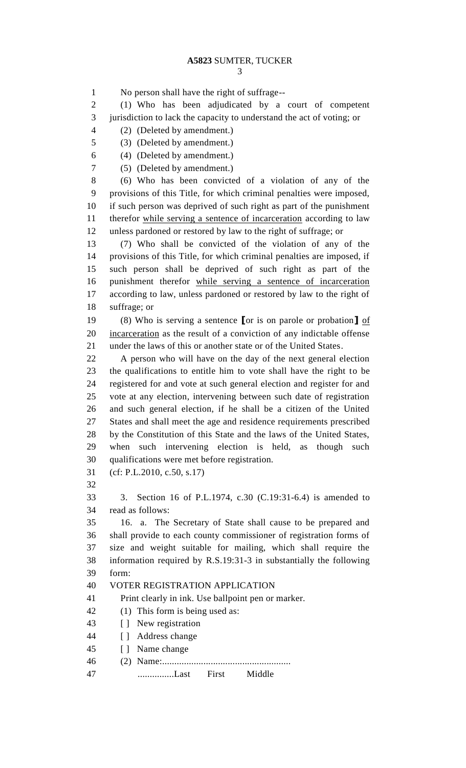No person shall have the right of suffrage-- (1) Who has been adjudicated by a court of competent jurisdiction to lack the capacity to understand the act of voting; or (2) (Deleted by amendment.) (3) (Deleted by amendment.) (4) (Deleted by amendment.) (5) (Deleted by amendment.) (6) Who has been convicted of a violation of any of the provisions of this Title, for which criminal penalties were imposed, if such person was deprived of such right as part of the punishment therefor while serving a sentence of incarceration according to law unless pardoned or restored by law to the right of suffrage; or (7) Who shall be convicted of the violation of any of the provisions of this Title, for which criminal penalties are imposed, if such person shall be deprived of such right as part of the punishment therefor while serving a sentence of incarceration according to law, unless pardoned or restored by law to the right of suffrage; or (8) Who is serving a sentence **[**or is on parole or probation**]** of incarceration as the result of a conviction of any indictable offense under the laws of this or another state or of the United States. A person who will have on the day of the next general election the qualifications to entitle him to vote shall have the right to be registered for and vote at such general election and register for and vote at any election, intervening between such date of registration and such general election, if he shall be a citizen of the United States and shall meet the age and residence requirements prescribed by the Constitution of this State and the laws of the United States, when such intervening election is held, as though such qualifications were met before registration. (cf: P.L.2010, c.50, s.17) 3. Section 16 of P.L.1974, c.30 (C.19:31-6.4) is amended to read as follows: 16. a. The Secretary of State shall cause to be prepared and shall provide to each county commissioner of registration forms of size and weight suitable for mailing, which shall require the information required by R.S.19:31-3 in substantially the following form: VOTER REGISTRATION APPLICATION Print clearly in ink. Use ballpoint pen or marker. (1) This form is being used as: 43 [ ] New registration [ ] Address change [ ] Name change (2) Name:..................................................... 47 ...............Last First Middle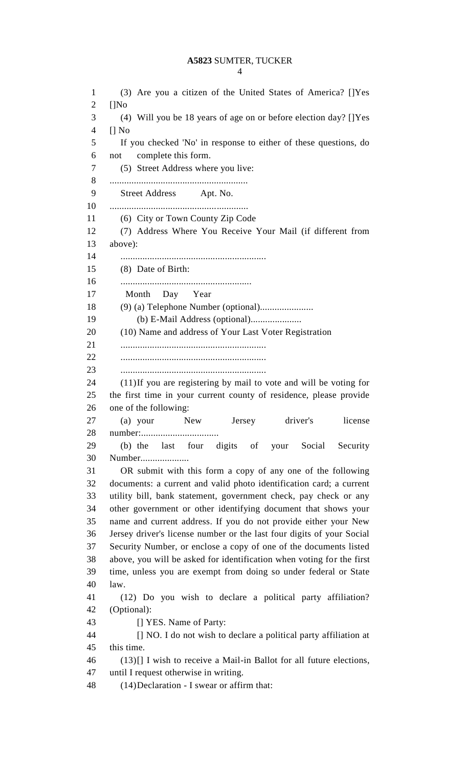|--|

 (3) Are you a citizen of the United States of America? []Yes []No (4) Will you be 18 years of age on or before election day? []Yes [] No If you checked 'No' in response to either of these questions, do not complete this form. (5) Street Address where you live: ......................................................... Street Address Apt. No. ......................................................... (6) City or Town County Zip Code (7) Address Where You Receive Your Mail (if different from above): ............................................................ (8) Date of Birth: ...................................................... Month Day Year (9) (a) Telephone Number (optional)...................... (b) E-Mail Address (optional)..................... (10) Name and address of Your Last Voter Registration ............................................................ ............................................................ ............................................................ (11)If you are registering by mail to vote and will be voting for the first time in your current county of residence, please provide one of the following: (a) your New Jersey driver's license number:................................ (b) the last four digits of your Social Security Number.................... OR submit with this form a copy of any one of the following documents: a current and valid photo identification card; a current utility bill, bank statement, government check, pay check or any other government or other identifying document that shows your name and current address. If you do not provide either your New Jersey driver's license number or the last four digits of your Social Security Number, or enclose a copy of one of the documents listed above, you will be asked for identification when voting for the first time, unless you are exempt from doing so under federal or State law. (12) Do you wish to declare a political party affiliation? (Optional): **I** YES. Name of Party: [] NO. I do not wish to declare a political party affiliation at this time. (13)[] I wish to receive a Mail-in Ballot for all future elections, until I request otherwise in writing. (14)Declaration - I swear or affirm that: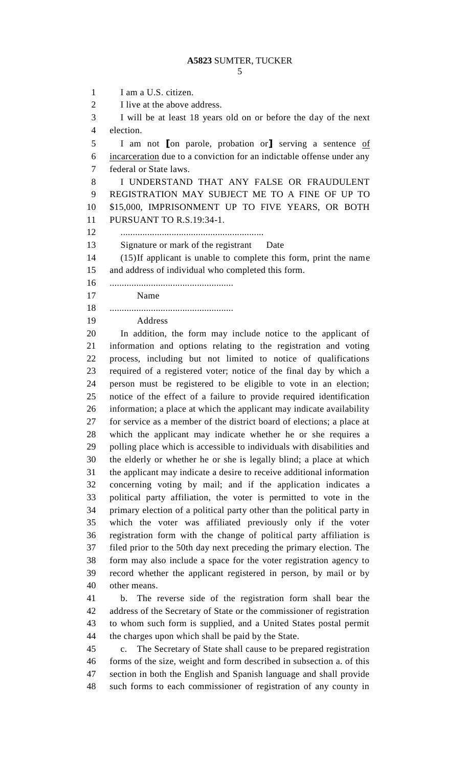1 I am a U.S. citizen. I live at the above address. I will be at least 18 years old on or before the day of the next election. I am not **[**on parole, probation or**]** serving a sentence of incarceration due to a conviction for an indictable offense under any federal or State laws. I UNDERSTAND THAT ANY FALSE OR FRAUDULENT REGISTRATION MAY SUBJECT ME TO A FINE OF UP TO \$15,000, IMPRISONMENT UP TO FIVE YEARS, OR BOTH PURSUANT TO R.S.19:34-1. ........................................................... Signature or mark of the registrant Date (15)If applicant is unable to complete this form, print the name and address of individual who completed this form. ................................................... Name ................................................... Address In addition, the form may include notice to the applicant of information and options relating to the registration and voting process, including but not limited to notice of qualifications required of a registered voter; notice of the final day by which a person must be registered to be eligible to vote in an election; notice of the effect of a failure to provide required identification information; a place at which the applicant may indicate availability for service as a member of the district board of elections; a place at which the applicant may indicate whether he or she requires a polling place which is accessible to individuals with disabilities and the elderly or whether he or she is legally blind; a place at which the applicant may indicate a desire to receive additional information concerning voting by mail; and if the application indicates a political party affiliation, the voter is permitted to vote in the primary election of a political party other than the political party in which the voter was affiliated previously only if the voter registration form with the change of political party affiliation is filed prior to the 50th day next preceding the primary election. The form may also include a space for the voter registration agency to record whether the applicant registered in person, by mail or by other means. b. The reverse side of the registration form shall bear the address of the Secretary of State or the commissioner of registration to whom such form is supplied, and a United States postal permit the charges upon which shall be paid by the State. c. The Secretary of State shall cause to be prepared registration forms of the size, weight and form described in subsection a. of this section in both the English and Spanish language and shall provide such forms to each commissioner of registration of any county in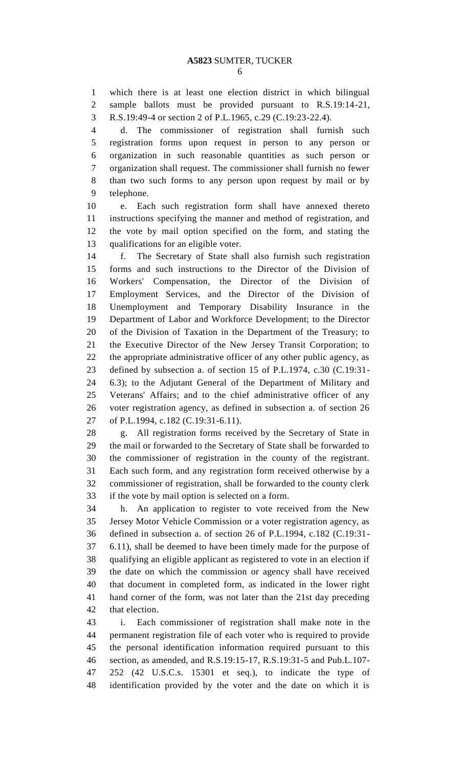which there is at least one election district in which bilingual sample ballots must be provided pursuant to R.S.19:14-21, R.S.19:49-4 or section 2 of P.L.1965, c.29 (C.19:23-22.4).

 d. The commissioner of registration shall furnish such registration forms upon request in person to any person or organization in such reasonable quantities as such person or organization shall request. The commissioner shall furnish no fewer than two such forms to any person upon request by mail or by telephone.

 e. Each such registration form shall have annexed thereto instructions specifying the manner and method of registration, and the vote by mail option specified on the form, and stating the qualifications for an eligible voter.

 f. The Secretary of State shall also furnish such registration forms and such instructions to the Director of the Division of Workers' Compensation, the Director of the Division of Employment Services, and the Director of the Division of Unemployment and Temporary Disability Insurance in the Department of Labor and Workforce Development; to the Director of the Division of Taxation in the Department of the Treasury; to the Executive Director of the New Jersey Transit Corporation; to the appropriate administrative officer of any other public agency, as defined by subsection a. of section 15 of P.L.1974, c.30 (C.19:31- 6.3); to the Adjutant General of the Department of Military and Veterans' Affairs; and to the chief administrative officer of any voter registration agency, as defined in subsection a. of section 26 of P.L.1994, c.182 (C.19:31-6.11).

 g. All registration forms received by the Secretary of State in the mail or forwarded to the Secretary of State shall be forwarded to the commissioner of registration in the county of the registrant. Each such form, and any registration form received otherwise by a commissioner of registration, shall be forwarded to the county clerk if the vote by mail option is selected on a form.

 h. An application to register to vote received from the New Jersey Motor Vehicle Commission or a voter registration agency, as defined in subsection a. of section 26 of P.L.1994, c.182 (C.19:31- 6.11), shall be deemed to have been timely made for the purpose of qualifying an eligible applicant as registered to vote in an election if the date on which the commission or agency shall have received that document in completed form, as indicated in the lower right hand corner of the form, was not later than the 21st day preceding that election.

 i. Each commissioner of registration shall make note in the permanent registration file of each voter who is required to provide the personal identification information required pursuant to this section, as amended, and R.S.19:15-17, R.S.19:31-5 and Pub.L.107- 252 (42 U.S.C.s. 15301 et seq.), to indicate the type of identification provided by the voter and the date on which it is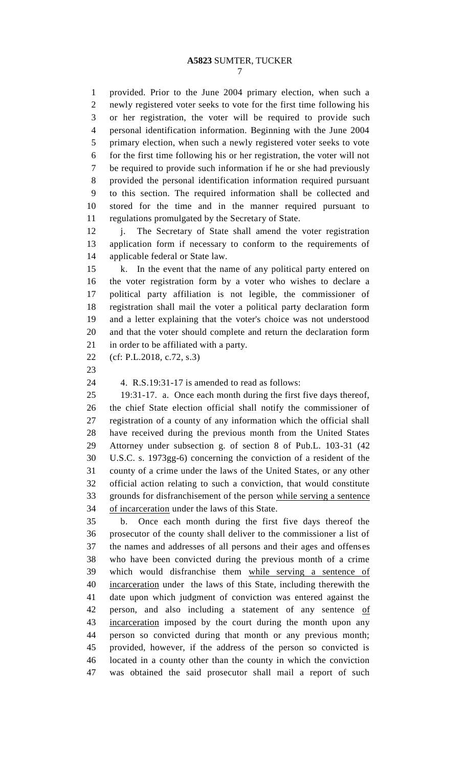provided. Prior to the June 2004 primary election, when such a newly registered voter seeks to vote for the first time following his or her registration, the voter will be required to provide such personal identification information. Beginning with the June 2004 primary election, when such a newly registered voter seeks to vote for the first time following his or her registration, the voter will not be required to provide such information if he or she had previously provided the personal identification information required pursuant to this section. The required information shall be collected and stored for the time and in the manner required pursuant to regulations promulgated by the Secretary of State.

12 j. The Secretary of State shall amend the voter registration application form if necessary to conform to the requirements of applicable federal or State law.

 k. In the event that the name of any political party entered on the voter registration form by a voter who wishes to declare a political party affiliation is not legible, the commissioner of registration shall mail the voter a political party declaration form and a letter explaining that the voter's choice was not understood and that the voter should complete and return the declaration form in order to be affiliated with a party.

(cf: P.L.2018, c.72, s.3)

4. R.S.19:31-17 is amended to read as follows:

 19:31-17. a. Once each month during the first five days thereof, the chief State election official shall notify the commissioner of registration of a county of any information which the official shall have received during the previous month from the United States Attorney under subsection g. of section 8 of Pub.L. 103-31 (42 U.S.C. s. 1973gg-6) concerning the conviction of a resident of the county of a crime under the laws of the United States, or any other official action relating to such a conviction, that would constitute grounds for disfranchisement of the person while serving a sentence of incarceration under the laws of this State.

 b. Once each month during the first five days thereof the prosecutor of the county shall deliver to the commissioner a list of the names and addresses of all persons and their ages and offenses who have been convicted during the previous month of a crime which would disfranchise them while serving a sentence of incarceration under the laws of this State, including therewith the date upon which judgment of conviction was entered against the 42 person, and also including a statement of any sentence of incarceration imposed by the court during the month upon any person so convicted during that month or any previous month; provided, however, if the address of the person so convicted is located in a county other than the county in which the conviction was obtained the said prosecutor shall mail a report of such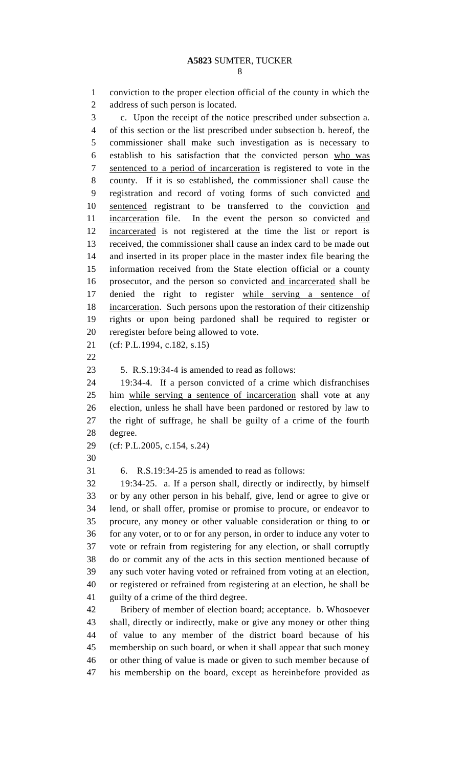conviction to the proper election official of the county in which the address of such person is located. c. Upon the receipt of the notice prescribed under subsection a. of this section or the list prescribed under subsection b. hereof, the commissioner shall make such investigation as is necessary to establish to his satisfaction that the convicted person who was sentenced to a period of incarceration is registered to vote in the county. If it is so established, the commissioner shall cause the registration and record of voting forms of such convicted and sentenced registrant to be transferred to the conviction and 11 incarceration file. In the event the person so convicted and incarcerated is not registered at the time the list or report is received, the commissioner shall cause an index card to be made out and inserted in its proper place in the master index file bearing the information received from the State election official or a county prosecutor, and the person so convicted and incarcerated shall be denied the right to register while serving a sentence of incarceration. Such persons upon the restoration of their citizenship rights or upon being pardoned shall be required to register or reregister before being allowed to vote. (cf: P.L.1994, c.182, s.15) 5. R.S.19:34-4 is amended to read as follows: 19:34-4. If a person convicted of a crime which disfranchises

 him while serving a sentence of incarceration shall vote at any election, unless he shall have been pardoned or restored by law to the right of suffrage, he shall be guilty of a crime of the fourth degree.

(cf: P.L.2005, c.154, s.24)

6. R.S.19:34-25 is amended to read as follows:

 19:34-25. a. If a person shall, directly or indirectly, by himself or by any other person in his behalf, give, lend or agree to give or lend, or shall offer, promise or promise to procure, or endeavor to procure, any money or other valuable consideration or thing to or for any voter, or to or for any person, in order to induce any voter to vote or refrain from registering for any election, or shall corruptly do or commit any of the acts in this section mentioned because of any such voter having voted or refrained from voting at an election, or registered or refrained from registering at an election, he shall be guilty of a crime of the third degree.

 Bribery of member of election board; acceptance. b. Whosoever shall, directly or indirectly, make or give any money or other thing of value to any member of the district board because of his membership on such board, or when it shall appear that such money or other thing of value is made or given to such member because of his membership on the board, except as hereinbefore provided as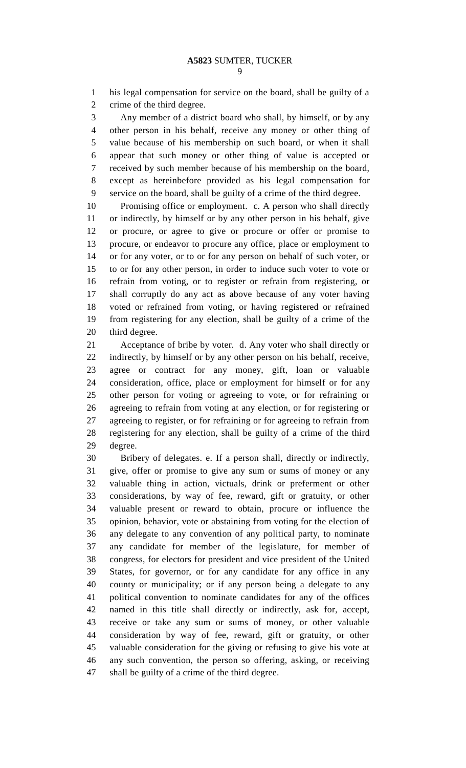his legal compensation for service on the board, shall be guilty of a crime of the third degree.

 Any member of a district board who shall, by himself, or by any other person in his behalf, receive any money or other thing of value because of his membership on such board, or when it shall appear that such money or other thing of value is accepted or received by such member because of his membership on the board, except as hereinbefore provided as his legal compensation for service on the board, shall be guilty of a crime of the third degree.

 Promising office or employment. c. A person who shall directly or indirectly, by himself or by any other person in his behalf, give or procure, or agree to give or procure or offer or promise to procure, or endeavor to procure any office, place or employment to or for any voter, or to or for any person on behalf of such voter, or to or for any other person, in order to induce such voter to vote or refrain from voting, or to register or refrain from registering, or shall corruptly do any act as above because of any voter having voted or refrained from voting, or having registered or refrained from registering for any election, shall be guilty of a crime of the third degree.

 Acceptance of bribe by voter. d. Any voter who shall directly or indirectly, by himself or by any other person on his behalf, receive, agree or contract for any money, gift, loan or valuable consideration, office, place or employment for himself or for any other person for voting or agreeing to vote, or for refraining or agreeing to refrain from voting at any election, or for registering or agreeing to register, or for refraining or for agreeing to refrain from registering for any election, shall be guilty of a crime of the third degree.

 Bribery of delegates. e. If a person shall, directly or indirectly, give, offer or promise to give any sum or sums of money or any valuable thing in action, victuals, drink or preferment or other considerations, by way of fee, reward, gift or gratuity, or other valuable present or reward to obtain, procure or influence the opinion, behavior, vote or abstaining from voting for the election of any delegate to any convention of any political party, to nominate any candidate for member of the legislature, for member of congress, for electors for president and vice president of the United States, for governor, or for any candidate for any office in any county or municipality; or if any person being a delegate to any political convention to nominate candidates for any of the offices named in this title shall directly or indirectly, ask for, accept, receive or take any sum or sums of money, or other valuable consideration by way of fee, reward, gift or gratuity, or other valuable consideration for the giving or refusing to give his vote at any such convention, the person so offering, asking, or receiving shall be guilty of a crime of the third degree.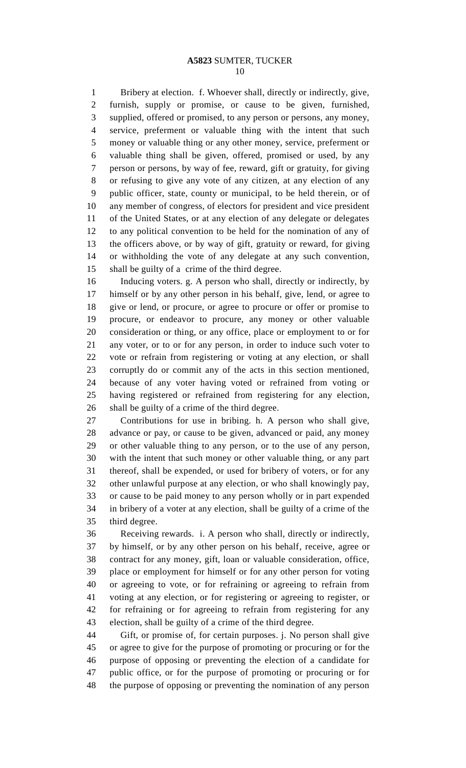Bribery at election. f. Whoever shall, directly or indirectly, give, furnish, supply or promise, or cause to be given, furnished, supplied, offered or promised, to any person or persons, any money, service, preferment or valuable thing with the intent that such money or valuable thing or any other money, service, preferment or valuable thing shall be given, offered, promised or used, by any person or persons, by way of fee, reward, gift or gratuity, for giving or refusing to give any vote of any citizen, at any election of any public officer, state, county or municipal, to be held therein, or of any member of congress, of electors for president and vice president of the United States, or at any election of any delegate or delegates to any political convention to be held for the nomination of any of the officers above, or by way of gift, gratuity or reward, for giving or withholding the vote of any delegate at any such convention, shall be guilty of a crime of the third degree.

 Inducing voters. g. A person who shall, directly or indirectly, by himself or by any other person in his behalf, give, lend, or agree to give or lend, or procure, or agree to procure or offer or promise to procure, or endeavor to procure, any money or other valuable consideration or thing, or any office, place or employment to or for any voter, or to or for any person, in order to induce such voter to vote or refrain from registering or voting at any election, or shall corruptly do or commit any of the acts in this section mentioned, because of any voter having voted or refrained from voting or having registered or refrained from registering for any election, shall be guilty of a crime of the third degree.

 Contributions for use in bribing. h. A person who shall give, advance or pay, or cause to be given, advanced or paid, any money or other valuable thing to any person, or to the use of any person, with the intent that such money or other valuable thing, or any part thereof, shall be expended, or used for bribery of voters, or for any other unlawful purpose at any election, or who shall knowingly pay, or cause to be paid money to any person wholly or in part expended in bribery of a voter at any election, shall be guilty of a crime of the third degree.

 Receiving rewards. i. A person who shall, directly or indirectly, by himself, or by any other person on his behalf, receive, agree or contract for any money, gift, loan or valuable consideration, office, place or employment for himself or for any other person for voting or agreeing to vote, or for refraining or agreeing to refrain from voting at any election, or for registering or agreeing to register, or for refraining or for agreeing to refrain from registering for any election, shall be guilty of a crime of the third degree.

 Gift, or promise of, for certain purposes. j. No person shall give or agree to give for the purpose of promoting or procuring or for the purpose of opposing or preventing the election of a candidate for public office, or for the purpose of promoting or procuring or for the purpose of opposing or preventing the nomination of any person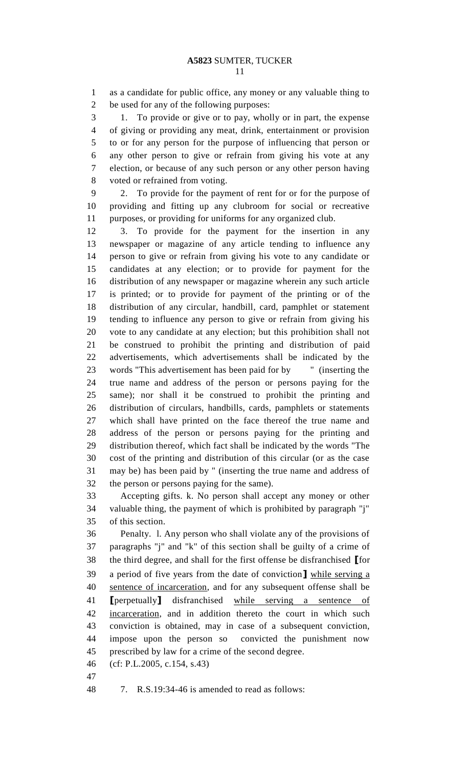as a candidate for public office, any money or any valuable thing to be used for any of the following purposes:

 1. To provide or give or to pay, wholly or in part, the expense of giving or providing any meat, drink, entertainment or provision to or for any person for the purpose of influencing that person or any other person to give or refrain from giving his vote at any election, or because of any such person or any other person having voted or refrained from voting.

 2. To provide for the payment of rent for or for the purpose of providing and fitting up any clubroom for social or recreative purposes, or providing for uniforms for any organized club.

 3. To provide for the payment for the insertion in any newspaper or magazine of any article tending to influence any person to give or refrain from giving his vote to any candidate or candidates at any election; or to provide for payment for the distribution of any newspaper or magazine wherein any such article is printed; or to provide for payment of the printing or of the distribution of any circular, handbill, card, pamphlet or statement tending to influence any person to give or refrain from giving his vote to any candidate at any election; but this prohibition shall not be construed to prohibit the printing and distribution of paid advertisements, which advertisements shall be indicated by the words "This advertisement has been paid for by " (inserting the true name and address of the person or persons paying for the same); nor shall it be construed to prohibit the printing and distribution of circulars, handbills, cards, pamphlets or statements which shall have printed on the face thereof the true name and address of the person or persons paying for the printing and distribution thereof, which fact shall be indicated by the words "The cost of the printing and distribution of this circular (or as the case may be) has been paid by " (inserting the true name and address of the person or persons paying for the same).

 Accepting gifts. k. No person shall accept any money or other valuable thing, the payment of which is prohibited by paragraph "j" of this section.

 Penalty. l. Any person who shall violate any of the provisions of paragraphs "j" and "k" of this section shall be guilty of a crime of the third degree, and shall for the first offense be disfranchised **[**for a period of five years from the date of conviction**]** while serving a sentence of incarceration, and for any subsequent offense shall be **[**perpetually**]** disfranchised while serving a sentence of incarceration, and in addition thereto the court in which such conviction is obtained, may in case of a subsequent conviction, impose upon the person so convicted the punishment now prescribed by law for a crime of the second degree.

- (cf: P.L.2005, c.154, s.43)
- 

7. R.S.19:34-46 is amended to read as follows: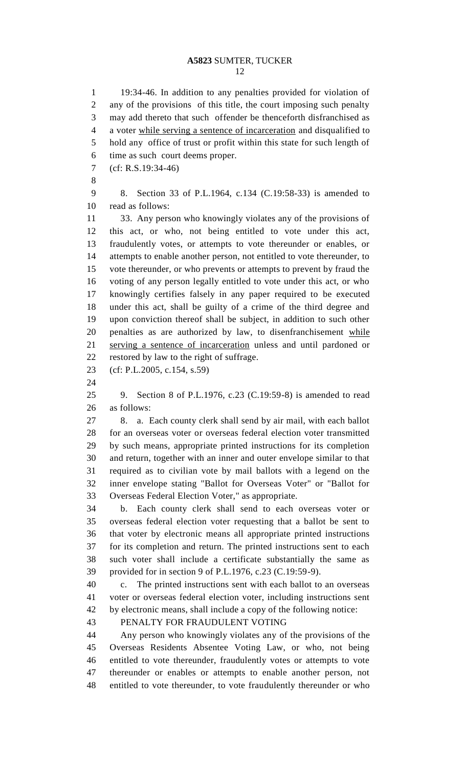19:34-46. In addition to any penalties provided for violation of any of the provisions of this title, the court imposing such penalty may add thereto that such offender be thenceforth disfranchised as a voter while serving a sentence of incarceration and disqualified to hold any office of trust or profit within this state for such length of time as such court deems proper. (cf: R.S.19:34-46) 8. Section 33 of P.L.1964, c.134 (C.19:58-33) is amended to read as follows: 33. Any person who knowingly violates any of the provisions of this act, or who, not being entitled to vote under this act, fraudulently votes, or attempts to vote thereunder or enables, or attempts to enable another person, not entitled to vote thereunder, to vote thereunder, or who prevents or attempts to prevent by fraud the voting of any person legally entitled to vote under this act, or who knowingly certifies falsely in any paper required to be executed under this act, shall be guilty of a crime of the third degree and upon conviction thereof shall be subject, in addition to such other penalties as are authorized by law, to disenfranchisement while serving a sentence of incarceration unless and until pardoned or restored by law to the right of suffrage. (cf: P.L.2005, c.154, s.59) 9. Section 8 of P.L.1976, c.23 (C.19:59-8) is amended to read as follows: 8. a. Each county clerk shall send by air mail, with each ballot for an overseas voter or overseas federal election voter transmitted by such means, appropriate printed instructions for its completion and return, together with an inner and outer envelope similar to that required as to civilian vote by mail ballots with a legend on the inner envelope stating "Ballot for Overseas Voter" or "Ballot for Overseas Federal Election Voter," as appropriate. b. Each county clerk shall send to each overseas voter or overseas federal election voter requesting that a ballot be sent to that voter by electronic means all appropriate printed instructions for its completion and return. The printed instructions sent to each such voter shall include a certificate substantially the same as provided for in section 9 of P.L.1976, c.23 (C.19:59-9). c. The printed instructions sent with each ballot to an overseas voter or overseas federal election voter, including instructions sent by electronic means, shall include a copy of the following notice: PENALTY FOR FRAUDULENT VOTING Any person who knowingly violates any of the provisions of the Overseas Residents Absentee Voting Law, or who, not being entitled to vote thereunder, fraudulently votes or attempts to vote thereunder or enables or attempts to enable another person, not entitled to vote thereunder, to vote fraudulently thereunder or who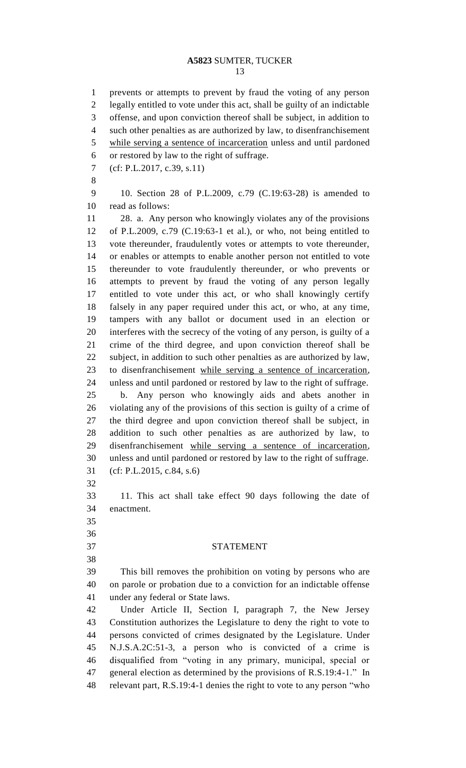prevents or attempts to prevent by fraud the voting of any person legally entitled to vote under this act, shall be guilty of an indictable offense, and upon conviction thereof shall be subject, in addition to such other penalties as are authorized by law, to disenfranchisement while serving a sentence of incarceration unless and until pardoned or restored by law to the right of suffrage. (cf: P.L.2017, c.39, s.11) 10. Section 28 of P.L.2009, c.79 (C.19:63-28) is amended to read as follows: 28. a. Any person who knowingly violates any of the provisions of P.L.2009, c.79 (C.19:63-1 et al.), or who, not being entitled to vote thereunder, fraudulently votes or attempts to vote thereunder, or enables or attempts to enable another person not entitled to vote thereunder to vote fraudulently thereunder, or who prevents or attempts to prevent by fraud the voting of any person legally entitled to vote under this act, or who shall knowingly certify falsely in any paper required under this act, or who, at any time, tampers with any ballot or document used in an election or interferes with the secrecy of the voting of any person, is guilty of a crime of the third degree, and upon conviction thereof shall be subject, in addition to such other penalties as are authorized by law, to disenfranchisement while serving a sentence of incarceration, unless and until pardoned or restored by law to the right of suffrage. b. Any person who knowingly aids and abets another in violating any of the provisions of this section is guilty of a crime of the third degree and upon conviction thereof shall be subject, in addition to such other penalties as are authorized by law, to disenfranchisement while serving a sentence of incarceration, unless and until pardoned or restored by law to the right of suffrage. (cf: P.L.2015, c.84, s.6) 11. This act shall take effect 90 days following the date of enactment. STATEMENT This bill removes the prohibition on voting by persons who are on parole or probation due to a conviction for an indictable offense under any federal or State laws. Under Article II, Section I, paragraph 7, the New Jersey Constitution authorizes the Legislature to deny the right to vote to persons convicted of crimes designated by the Legislature. Under N.J.S.A.2C:51-3, a person who is convicted of a crime is disqualified from "voting in any primary, municipal, special or general election as determined by the provisions of R.S.19:4-1." In relevant part, R.S.19:4-1 denies the right to vote to any person "who